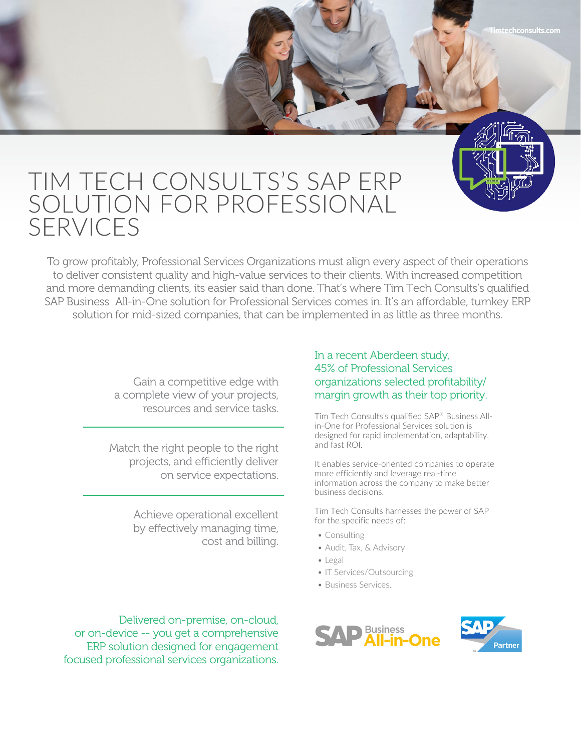## TIM TECH CONSULTS'S SAP ERP SOLUTION FOR PROFESSIONAL SERVICES

To grow profitably, Professional Services Organizations must align every aspect of their operations to deliver consistent quality and high-value services to their clients. With increased competition and more demanding clients, its easier said than done. That's where Tim Tech Consults's qualified SAP Business All-in-One solution for Professional Services comes in. It's an affordable, turnkey ERP solution for mid-sized companies, that can be implemented in as little as three months.

> Gain a competitive edge with a complete view of your projects, resources and service tasks.

Match the right people to the right projects, and efficiently deliver on service expectations.

> Achieve operational excellent by effectively managing time, cost and billing.

In a recent Aberdeen study, 45% of Professional Services organizations selected profitability/ margin growth as their top priority.

Tim Tech Consults's qualified SAP® Business Allin-One for Professional Services solution is designed for rapid implementation, adaptability, and fast ROI.

It enables service-oriented companies to operate more efficiently and leverage real-time information across the company to make better business decisions.

Tim Tech Consults harnesses the power of SAP for the specific needs of:

- Consulting
- Audit, Tax, & Advisory
- Legal
- IT Services/Outsourcing
- Business Services.

Delivered on-premise, on-cloud, or on-device -- you get a comprehensive ERP solution designed for engagement focused professional services organizations.